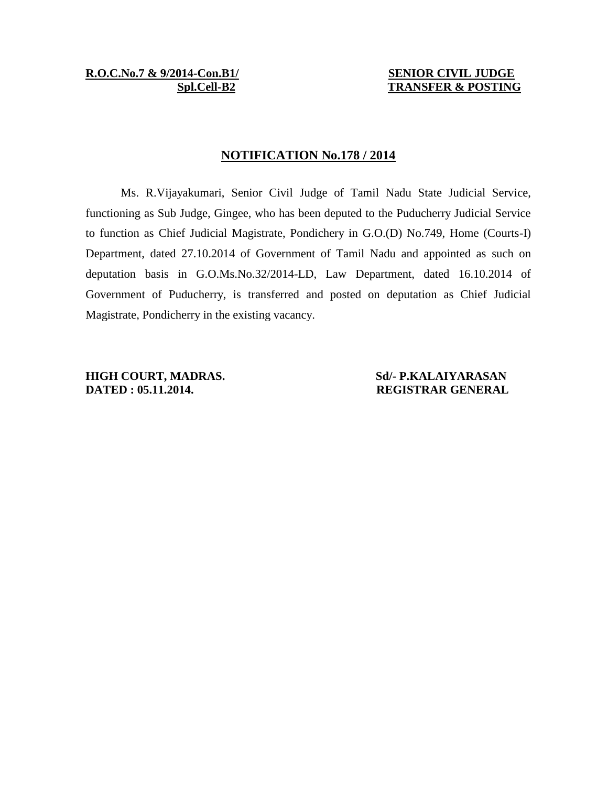**R.O.C.No.7 & 9/2014-Con.B1/ SENIOR CIVIL JUDGE**

 **Spl.Cell-B2 TRANSFER & POSTING**

## **NOTIFICATION No.178 / 2014**

Ms. R.Vijayakumari, Senior Civil Judge of Tamil Nadu State Judicial Service, functioning as Sub Judge, Gingee, who has been deputed to the Puducherry Judicial Service to function as Chief Judicial Magistrate, Pondichery in G.O.(D) No.749, Home (Courts-I) Department, dated 27.10.2014 of Government of Tamil Nadu and appointed as such on deputation basis in G.O.Ms.No.32/2014-LD, Law Department, dated 16.10.2014 of Government of Puducherry, is transferred and posted on deputation as Chief Judicial Magistrate, Pondicherry in the existing vacancy.

**HIGH COURT, MADRAS.** Sd/- **P.KALAIYARASAN DATED : 05.11.2014. REGISTRAR GENERAL**